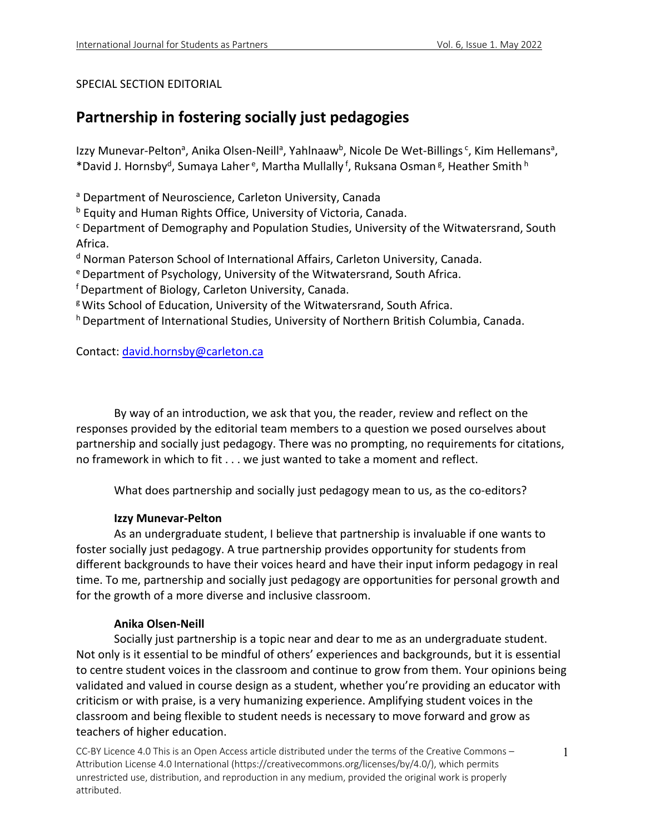#### SPECIAL SECTION EDITORIAL

# **Partnership in fostering socially just pedagogies**

Izzy Munevar-Pelton<sup>a</sup>, Anika Olsen-Neill<sup>a</sup>, Yahlnaaw<sup>b</sup>, Nicole De Wet-Billings<sup>c</sup>, Kim Hellemans<sup>a</sup>, \*David J. Hornsby<sup>d</sup>, Sumaya Laher<sup>e</sup>, Martha Mullally<sup>f</sup>, Ruksana Osman<sup>g</sup>, Heather Smith<sup>h</sup>

<sup>a</sup> Department of Neuroscience, Carleton University, Canada

<sup>b</sup> Equity and Human Rights Office, University of Victoria, Canada.

<sup>c</sup> Department of Demography and Population Studies, University of the Witwatersrand, South Africa.

<sup>d</sup> Norman Paterson School of International Affairs, Carleton University, Canada.

e Department of Psychology, University of the Witwatersrand, South Africa.

f Department of Biology, Carleton University, Canada.

g Wits School of Education, University of the Witwatersrand, South Africa.

h Department of International Studies, University of Northern British Columbia, Canada.

Contact: david.hornsby@carleton.ca

By way of an introduction, we ask that you, the reader, review and reflect on the responses provided by the editorial team members to a question we posed ourselves about partnership and socially just pedagogy. There was no prompting, no requirements for citations, no framework in which to fit . . . we just wanted to take a moment and reflect.

What does partnership and socially just pedagogy mean to us, as the co-editors?

#### **Izzy Munevar-Pelton**

As an undergraduate student, I believe that partnership is invaluable if one wants to foster socially just pedagogy. A true partnership provides opportunity for students from different backgrounds to have their voices heard and have their input inform pedagogy in real time. To me, partnership and socially just pedagogy are opportunities for personal growth and for the growth of a more diverse and inclusive classroom.

#### **Anika Olsen-Neill**

Socially just partnership is a topic near and dear to me as an undergraduate student. Not only is it essential to be mindful of others' experiences and backgrounds, but it is essential to centre student voices in the classroom and continue to grow from them. Your opinions being validated and valued in course design as a student, whether you're providing an educator with criticism or with praise, is a very humanizing experience. Amplifying student voices in the classroom and being flexible to student needs is necessary to move forward and grow as teachers of higher education.

CC-BY Licence 4.0 This is an Open Access article distributed under the terms of the Creative Commons – Attribution License 4.0 International (https://creativecommons.org/licenses/by/4.0/), which permits unrestricted use, distribution, and reproduction in any medium, provided the original work is properly attributed.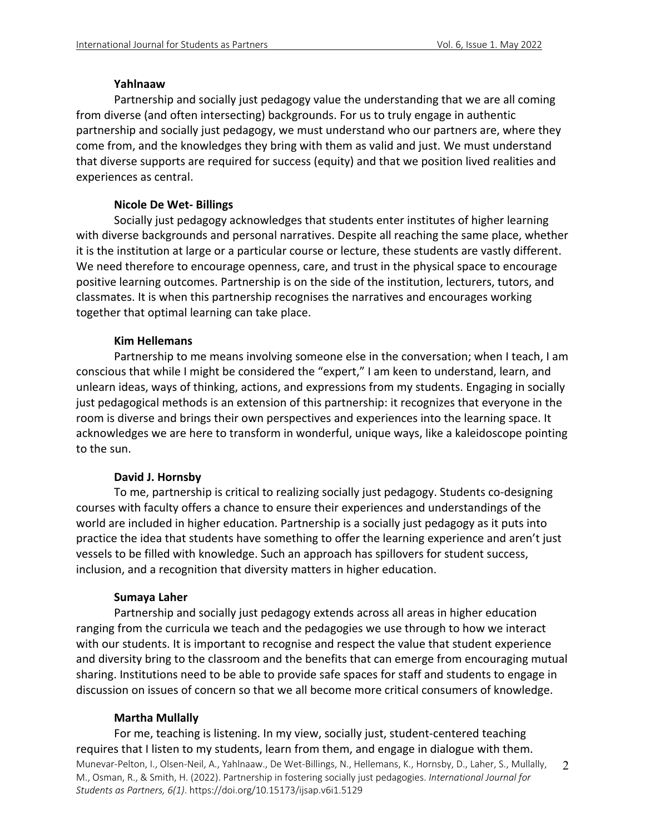#### **Yahlnaaw**

Partnership and socially just pedagogy value the understanding that we are all coming from diverse (and often intersecting) backgrounds. For us to truly engage in authentic partnership and socially just pedagogy, we must understand who our partners are, where they come from, and the knowledges they bring with them as valid and just. We must understand that diverse supports are required for success (equity) and that we position lived realities and experiences as central.

## **Nicole De Wet- Billings**

Socially just pedagogy acknowledges that students enter institutes of higher learning with diverse backgrounds and personal narratives. Despite all reaching the same place, whether it is the institution at large or a particular course or lecture, these students are vastly different. We need therefore to encourage openness, care, and trust in the physical space to encourage positive learning outcomes. Partnership is on the side of the institution, lecturers, tutors, and classmates. It is when this partnership recognises the narratives and encourages working together that optimal learning can take place.

## **Kim Hellemans**

Partnership to me means involving someone else in the conversation; when I teach, I am conscious that while I might be considered the "expert," I am keen to understand, learn, and unlearn ideas, ways of thinking, actions, and expressions from my students. Engaging in socially just pedagogical methods is an extension of this partnership: it recognizes that everyone in the room is diverse and brings their own perspectives and experiences into the learning space. It acknowledges we are here to transform in wonderful, unique ways, like a kaleidoscope pointing to the sun.

## **David J. Hornsby**

To me, partnership is critical to realizing socially just pedagogy. Students co-designing courses with faculty offers a chance to ensure their experiences and understandings of the world are included in higher education. Partnership is a socially just pedagogy as it puts into practice the idea that students have something to offer the learning experience and aren't just vessels to be filled with knowledge. Such an approach has spillovers for student success, inclusion, and a recognition that diversity matters in higher education.

## **Sumaya Laher**

Partnership and socially just pedagogy extends across all areas in higher education ranging from the curricula we teach and the pedagogies we use through to how we interact with our students. It is important to recognise and respect the value that student experience and diversity bring to the classroom and the benefits that can emerge from encouraging mutual sharing. Institutions need to be able to provide safe spaces for staff and students to engage in discussion on issues of concern so that we all become more critical consumers of knowledge.

## **Martha Mullally**

Munevar-Pelton, I., Olsen-Neil, A., Yahlnaaw., De Wet-Billings, N., Hellemans, K., Hornsby, D., Laher, S., Mullally, M., Osman, R., & Smith, H. (2022). Partnership in fostering socially just pedagogies. *International Journal for Students as Partners, 6(1)*. https://doi.org/10.15173/ijsap.v6i1.5129 2 For me, teaching is listening. In my view, socially just, student-centered teaching requires that I listen to my students, learn from them, and engage in dialogue with them.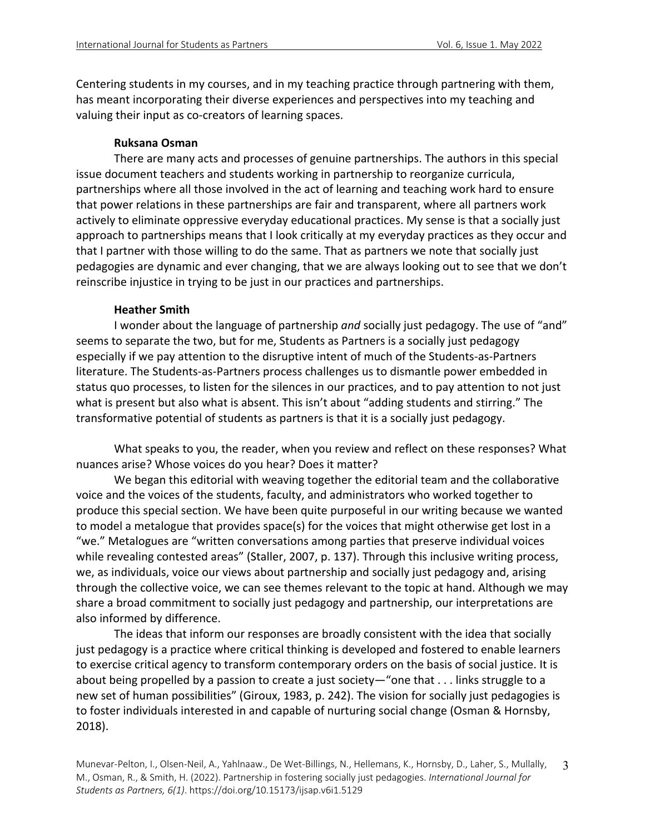Centering students in my courses, and in my teaching practice through partnering with them, has meant incorporating their diverse experiences and perspectives into my teaching and valuing their input as co-creators of learning spaces.

#### **Ruksana Osman**

There are many acts and processes of genuine partnerships. The authors in this special issue document teachers and students working in partnership to reorganize curricula, partnerships where all those involved in the act of learning and teaching work hard to ensure that power relations in these partnerships are fair and transparent, where all partners work actively to eliminate oppressive everyday educational practices. My sense is that a socially just approach to partnerships means that I look critically at my everyday practices as they occur and that I partner with those willing to do the same. That as partners we note that socially just pedagogies are dynamic and ever changing, that we are always looking out to see that we don't reinscribe injustice in trying to be just in our practices and partnerships.

#### **Heather Smith**

I wonder about the language of partnership *and* socially just pedagogy. The use of "and" seems to separate the two, but for me, Students as Partners is a socially just pedagogy especially if we pay attention to the disruptive intent of much of the Students-as-Partners literature. The Students-as-Partners process challenges us to dismantle power embedded in status quo processes, to listen for the silences in our practices, and to pay attention to not just what is present but also what is absent. This isn't about "adding students and stirring." The transformative potential of students as partners is that it is a socially just pedagogy.

What speaks to you, the reader, when you review and reflect on these responses? What nuances arise? Whose voices do you hear? Does it matter?

We began this editorial with weaving together the editorial team and the collaborative voice and the voices of the students, faculty, and administrators who worked together to produce this special section. We have been quite purposeful in our writing because we wanted to model a metalogue that provides space(s) for the voices that might otherwise get lost in a "we." Metalogues are "written conversations among parties that preserve individual voices while revealing contested areas" (Staller, 2007, p. 137). Through this inclusive writing process, we, as individuals, voice our views about partnership and socially just pedagogy and, arising through the collective voice, we can see themes relevant to the topic at hand. Although we may share a broad commitment to socially just pedagogy and partnership, our interpretations are also informed by difference.

The ideas that inform our responses are broadly consistent with the idea that socially just pedagogy is a practice where critical thinking is developed and fostered to enable learners to exercise critical agency to transform contemporary orders on the basis of social justice. It is about being propelled by a passion to create a just society—"one that . . . links struggle to a new set of human possibilities" (Giroux, 1983, p. 242). The vision for socially just pedagogies is to foster individuals interested in and capable of nurturing social change (Osman & Hornsby, 2018).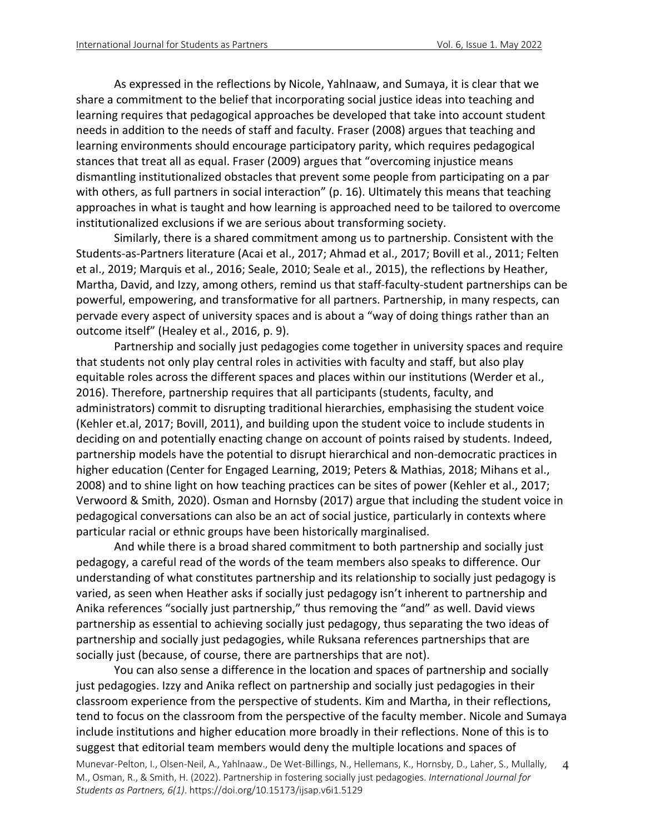As expressed in the reflections by Nicole, Yahlnaaw, and Sumaya, it is clear that we share a commitment to the belief that incorporating social justice ideas into teaching and learning requires that pedagogical approaches be developed that take into account student needs in addition to the needs of staff and faculty. Fraser (2008) argues that teaching and learning environments should encourage participatory parity, which requires pedagogical stances that treat all as equal. Fraser (2009) argues that "overcoming injustice means dismantling institutionalized obstacles that prevent some people from participating on a par with others, as full partners in social interaction" (p. 16). Ultimately this means that teaching approaches in what is taught and how learning is approached need to be tailored to overcome institutionalized exclusions if we are serious about transforming society.

Similarly, there is a shared commitment among us to partnership. Consistent with the Students-as-Partners literature (Acai et al., 2017; Ahmad et al., 2017; Bovill et al., 2011; Felten et al., 2019; Marquis et al., 2016; Seale, 2010; Seale et al., 2015), the reflections by Heather, Martha, David, and Izzy, among others, remind us that staff-faculty-student partnerships can be powerful, empowering, and transformative for all partners. Partnership, in many respects, can pervade every aspect of university spaces and is about a "way of doing things rather than an outcome itself" (Healey et al., 2016, p. 9).

Partnership and socially just pedagogies come together in university spaces and require that students not only play central roles in activities with faculty and staff, but also play equitable roles across the different spaces and places within our institutions (Werder et al., 2016). Therefore, partnership requires that all participants (students, faculty, and administrators) commit to disrupting traditional hierarchies, emphasising the student voice (Kehler et.al, 2017; Bovill, 2011), and building upon the student voice to include students in deciding on and potentially enacting change on account of points raised by students. Indeed, partnership models have the potential to disrupt hierarchical and non-democratic practices in higher education (Center for Engaged Learning, 2019; Peters & Mathias, 2018; Mihans et al., 2008) and to shine light on how teaching practices can be sites of power (Kehler et al., 2017; Verwoord & Smith, 2020). Osman and Hornsby (2017) argue that including the student voice in pedagogical conversations can also be an act of social justice, particularly in contexts where particular racial or ethnic groups have been historically marginalised.

And while there is a broad shared commitment to both partnership and socially just pedagogy, a careful read of the words of the team members also speaks to difference. Our understanding of what constitutes partnership and its relationship to socially just pedagogy is varied, as seen when Heather asks if socially just pedagogy isn't inherent to partnership and Anika references "socially just partnership," thus removing the "and" as well. David views partnership as essential to achieving socially just pedagogy, thus separating the two ideas of partnership and socially just pedagogies, while Ruksana references partnerships that are socially just (because, of course, there are partnerships that are not).

Munevar-Pelton, I., Olsen-Neil, A., Yahlnaaw., De Wet-Billings, N., Hellemans, K., Hornsby, D., Laher, S., Mullally, M., Osman, R., & Smith, H. (2022). Partnership in fostering socially just pedagogies. *International Journal for Students as Partners, 6(1)*. https://doi.org/10.15173/ijsap.v6i1.5129 4 You can also sense a difference in the location and spaces of partnership and socially just pedagogies. Izzy and Anika reflect on partnership and socially just pedagogies in their classroom experience from the perspective of students. Kim and Martha, in their reflections, tend to focus on the classroom from the perspective of the faculty member. Nicole and Sumaya include institutions and higher education more broadly in their reflections. None of this is to suggest that editorial team members would deny the multiple locations and spaces of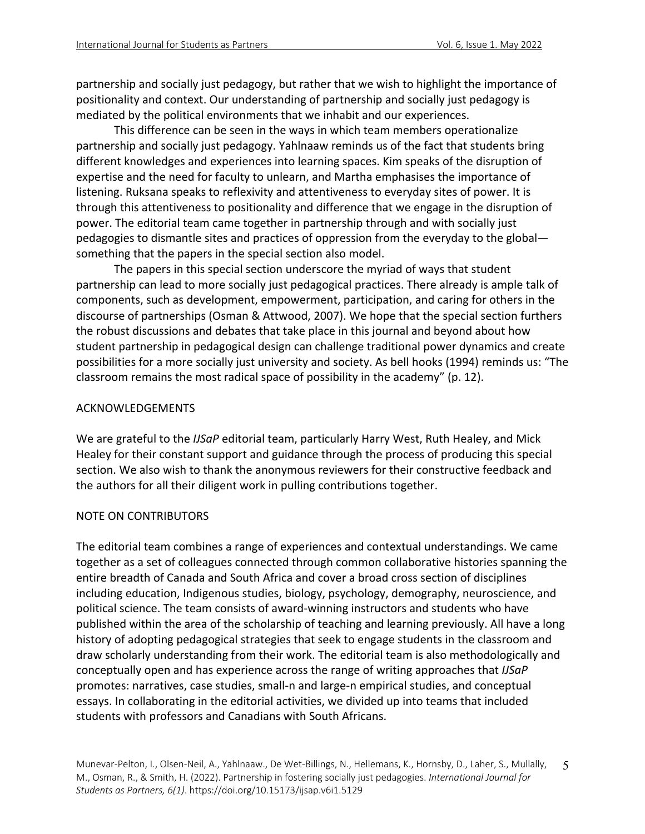partnership and socially just pedagogy, but rather that we wish to highlight the importance of positionality and context. Our understanding of partnership and socially just pedagogy is mediated by the political environments that we inhabit and our experiences.

This difference can be seen in the ways in which team members operationalize partnership and socially just pedagogy. Yahlnaaw reminds us of the fact that students bring different knowledges and experiences into learning spaces. Kim speaks of the disruption of expertise and the need for faculty to unlearn, and Martha emphasises the importance of listening. Ruksana speaks to reflexivity and attentiveness to everyday sites of power. It is through this attentiveness to positionality and difference that we engage in the disruption of power. The editorial team came together in partnership through and with socially just pedagogies to dismantle sites and practices of oppression from the everyday to the global something that the papers in the special section also model.

The papers in this special section underscore the myriad of ways that student partnership can lead to more socially just pedagogical practices. There already is ample talk of components, such as development, empowerment, participation, and caring for others in the discourse of partnerships (Osman & Attwood, 2007). We hope that the special section furthers the robust discussions and debates that take place in this journal and beyond about how student partnership in pedagogical design can challenge traditional power dynamics and create possibilities for a more socially just university and society. As bell hooks (1994) reminds us: "The classroom remains the most radical space of possibility in the academy" (p. 12).

#### ACKNOWLEDGEMENTS

We are grateful to the *IJSaP* editorial team, particularly Harry West, Ruth Healey, and Mick Healey for their constant support and guidance through the process of producing this special section. We also wish to thank the anonymous reviewers for their constructive feedback and the authors for all their diligent work in pulling contributions together.

#### NOTE ON CONTRIBUTORS

The editorial team combines a range of experiences and contextual understandings. We came together as a set of colleagues connected through common collaborative histories spanning the entire breadth of Canada and South Africa and cover a broad cross section of disciplines including education, Indigenous studies, biology, psychology, demography, neuroscience, and political science. The team consists of award-winning instructors and students who have published within the area of the scholarship of teaching and learning previously. All have a long history of adopting pedagogical strategies that seek to engage students in the classroom and draw scholarly understanding from their work. The editorial team is also methodologically and conceptually open and has experience across the range of writing approaches that *IJSaP* promotes: narratives, case studies, small-n and large-n empirical studies, and conceptual essays. In collaborating in the editorial activities, we divided up into teams that included students with professors and Canadians with South Africans.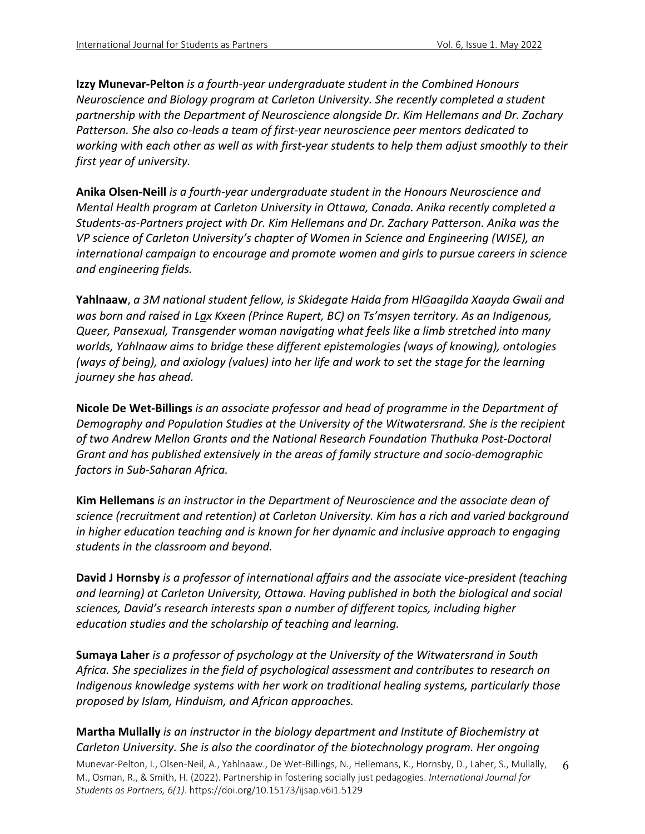**Izzy Munevar-Pelton** *is a fourth-year undergraduate student in the Combined Honours Neuroscience and Biology program at Carleton University. She recently completed a student partnership with the Department of Neuroscience alongside Dr. Kim Hellemans and Dr. Zachary Patterson. She also co-leads a team of first-year neuroscience peer mentors dedicated to working with each other as well as with first-year students to help them adjust smoothly to their first year of university.* 

**Anika Olsen-Neill** *is a fourth-year undergraduate student in the Honours Neuroscience and Mental Health program at Carleton University in Ottawa, Canada. Anika recently completed a Students-as-Partners project with Dr. Kim Hellemans and Dr. Zachary Patterson. Anika was the VP science of Carleton University's chapter of Women in Science and Engineering (WISE), an international campaign to encourage and promote women and girls to pursue careers in science and engineering fields.*

**Yahlnaaw**, *a 3M national student fellow, is Skidegate Haida from HlGaagilda Xaayda Gwaii and was born and raised in Lax Kxeen (Prince Rupert, BC) on Ts'msyen territory. As an Indigenous, Queer, Pansexual, Transgender woman navigating what feels like a limb stretched into many worlds, Yahlnaaw aims to bridge these different epistemologies (ways of knowing), ontologies (ways of being), and axiology (values) into her life and work to set the stage for the learning journey she has ahead.*

**Nicole De Wet-Billings** *is an associate professor and head of programme in the Department of Demography and Population Studies at the University of the Witwatersrand. She is the recipient of two Andrew Mellon Grants and the National Research Foundation Thuthuka Post-Doctoral Grant and has published extensively in the areas of family structure and socio-demographic factors in Sub-Saharan Africa.*

**Kim Hellemans** *is an instructor in the Department of Neuroscience and the associate dean of science (recruitment and retention) at Carleton University. Kim has a rich and varied background in higher education teaching and is known for her dynamic and inclusive approach to engaging students in the classroom and beyond.* 

**David J Hornsby** *is a professor of international affairs and the associate vice-president (teaching and learning) at Carleton University, Ottawa. Having published in both the biological and social sciences, David's research interests span a number of different topics, including higher education studies and the scholarship of teaching and learning.* 

**Sumaya Laher** *is a professor of psychology at the University of the Witwatersrand in South Africa. She specializes in the field of psychological assessment and contributes to research on Indigenous knowledge systems with her work on traditional healing systems, particularly those proposed by Islam, Hinduism, and African approaches.*

## **Martha Mullally** *is an instructor in the biology department and Institute of Biochemistry at Carleton University. She is also the coordinator of the biotechnology program. Her ongoing*

Munevar-Pelton, I., Olsen-Neil, A., Yahlnaaw., De Wet-Billings, N., Hellemans, K., Hornsby, D., Laher, S., Mullally, M., Osman, R., & Smith, H. (2022). Partnership in fostering socially just pedagogies. *International Journal for Students as Partners, 6(1)*. https://doi.org/10.15173/ijsap.v6i1.5129 6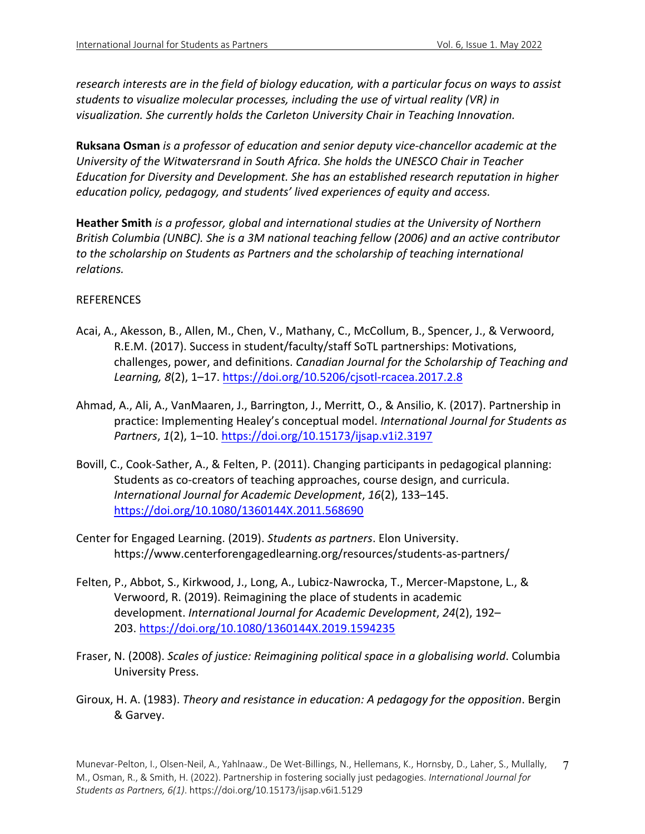*research interests are in the field of biology education, with a particular focus on ways to assist students to visualize molecular processes, including the use of virtual reality (VR) in visualization. She currently holds the Carleton University Chair in Teaching Innovation.*

**Ruksana Osman** *is a professor of education and senior deputy vice-chancellor academic at the University of the Witwatersrand in South Africa. She holds the UNESCO Chair in Teacher Education for Diversity and Development. She has an established research reputation in higher education policy, pedagogy, and students' lived experiences of equity and access.* 

**Heather Smith** *is a professor, global and international studies at the University of Northern British Columbia (UNBC). She is a 3M national teaching fellow (2006) and an active contributor to the scholarship on Students as Partners and the scholarship of teaching international relations.*

#### REFERENCES

- Acai, A., Akesson, B., Allen, M., Chen, V., Mathany, C., McCollum, B., Spencer, J., & Verwoord, R.E.M. (2017). Success in student/faculty/staff SoTL partnerships: Motivations, challenges, power, and definitions. *Canadian Journal for the Scholarship of Teaching and Learning, 8*(2), 1–17. https://doi.org/10.5206/cjsotl-rcacea.2017.2.8
- Ahmad, A., Ali, A., VanMaaren, J., Barrington, J., Merritt, O., & Ansilio, K. (2017). Partnership in practice: Implementing Healey's conceptual model. *International Journal for Students as Partners*, *1*(2), 1–10. https://doi.org/10.15173/ijsap.v1i2.3197
- Bovill, C., Cook-Sather, A., & Felten, P. (2011). Changing participants in pedagogical planning: Students as co-creators of teaching approaches, course design, and curricula. *International Journal for Academic Development*, *16*(2), 133–145. https://doi.org/10.1080/1360144X.2011.568690
- Center for Engaged Learning. (2019). *Students as partners*. Elon University. https://www.centerforengagedlearning.org/resources/students-as-partners/
- Felten, P., Abbot, S., Kirkwood, J., Long, A., Lubicz-Nawrocka, T., Mercer-Mapstone, L., & Verwoord, R. (2019). Reimagining the place of students in academic development. *International Journal for Academic Development*, *24*(2), 192– 203. https://doi.org/10.1080/1360144X.2019.1594235
- Fraser, N. (2008). *Scales of justice: Reimagining political space in a globalising world*. Columbia University Press.
- Giroux, H. A. (1983). *Theory and resistance in education: A pedagogy for the opposition*. Bergin & Garvey.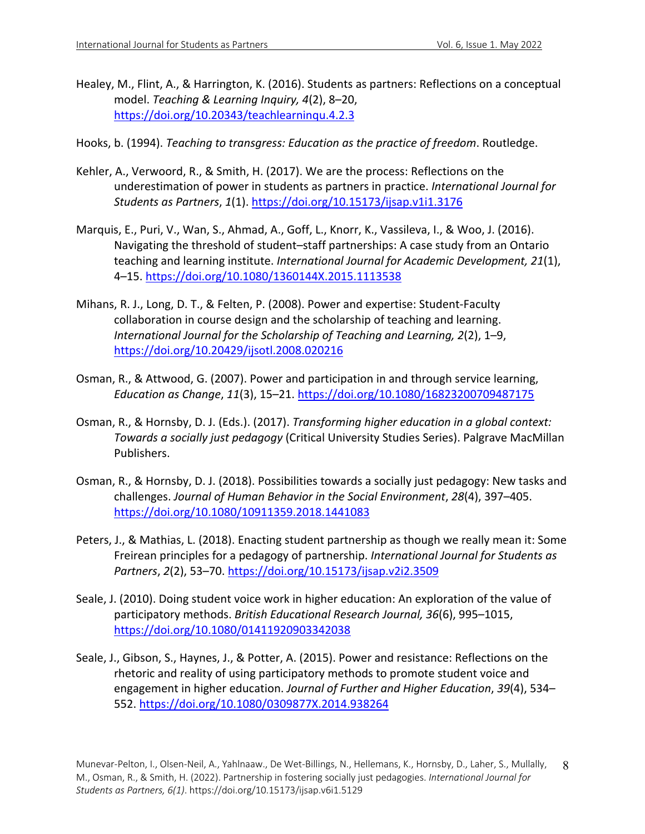- Healey, M., Flint, A., & Harrington, K. (2016). Students as partners: Reflections on a conceptual model. *Teaching & Learning Inquiry, 4*(2), 8–20, https://doi.org/10.20343/teachlearninqu.4.2.3
- Hooks, b. (1994). *Teaching to transgress: Education as the practice of freedom*. Routledge.
- Kehler, A., Verwoord, R., & Smith, H. (2017). We are the process: Reflections on the underestimation of power in students as partners in practice. *International Journal for Students as Partners*, *1*(1). https://doi.org/10.15173/ijsap.v1i1.3176
- Marquis, E., Puri, V., Wan, S., Ahmad, A., Goff, L., Knorr, K., Vassileva, I., & Woo, J. (2016). Navigating the threshold of student–staff partnerships: A case study from an Ontario teaching and learning institute. *International Journal for Academic Development, 21*(1), 4–15. https://doi.org/10.1080/1360144X.2015.1113538
- Mihans, R. J., Long, D. T., & Felten, P. (2008). Power and expertise: Student-Faculty collaboration in course design and the scholarship of teaching and learning. *International Journal for the Scholarship of Teaching and Learning, 2*(2), 1–9, https://doi.org/10.20429/ijsotl.2008.020216
- Osman, R., & Attwood, G. (2007). Power and participation in and through service learning, *Education as Change*, *11*(3), 15–21. https://doi.org/10.1080/16823200709487175
- Osman, R., & Hornsby, D. J. (Eds.). (2017). *Transforming higher education in a global context: Towards a socially just pedagogy* (Critical University Studies Series). Palgrave MacMillan Publishers.
- Osman, R., & Hornsby, D. J. (2018). Possibilities towards a socially just pedagogy: New tasks and challenges. *Journal of Human Behavior in the Social Environment*, *28*(4), 397–405. https://doi.org/10.1080/10911359.2018.1441083
- Peters, J., & Mathias, L. (2018). Enacting student partnership as though we really mean it: Some Freirean principles for a pedagogy of partnership. *International Journal for Students as Partners*, *2*(2), 53–70. https://doi.org/10.15173/ijsap.v2i2.3509
- Seale, J. (2010). Doing student voice work in higher education: An exploration of the value of participatory methods. *British Educational Research Journal, 36*(6), 995–1015, https://doi.org/10.1080/01411920903342038
- Seale, J., Gibson, S., Haynes, J., & Potter, A. (2015). Power and resistance: Reflections on the rhetoric and reality of using participatory methods to promote student voice and engagement in higher education. *Journal of Further and Higher Education*, *39*(4), 534– 552. https://doi.org/10.1080/0309877X.2014.938264